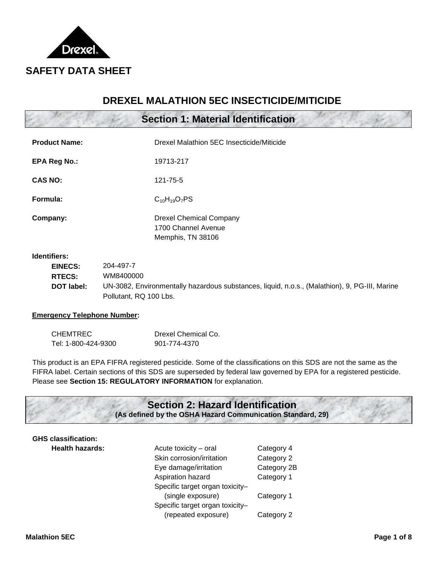

# **DREXEL MALATHION 5EC INSECTICIDE/MITICIDE**

|  |  |  | Section 1: Material Identification |
|--|--|--|------------------------------------|
|--|--|--|------------------------------------|

| <b>Product Name:</b> | Drexel Malathion 5EC Insecticide/Miticide                                  |  |
|----------------------|----------------------------------------------------------------------------|--|
| <b>EPA Reg No.:</b>  | 19713-217                                                                  |  |
| <b>CAS NO:</b>       | 121-75-5                                                                   |  |
| Formula:             | $C_{10}H_{19}O_7PS$                                                        |  |
| Company:             | <b>Drexel Chemical Company</b><br>1700 Channel Avenue<br>Memphis, TN 38106 |  |

## **Identifiers:**

| <b>EINECS:</b>    | 204-497-7                                                                                     |
|-------------------|-----------------------------------------------------------------------------------------------|
| <b>RTECS:</b>     | WM8400000                                                                                     |
| <b>DOT label:</b> | UN-3082, Environmentally hazardous substances, liquid, n.o.s., (Malathion), 9, PG-III, Marine |
|                   | Pollutant, RQ 100 Lbs.                                                                        |

### **Emergency Telephone Number:**

| <b>CHEMTREC</b>     | Drexel Chemical Co. |
|---------------------|---------------------|
| Tel: 1-800-424-9300 | 901-774-4370        |

 FIFRA label. Certain sections of this SDS are superseded by federal law governed by EPA for a registered pesticide. This product is an EPA FIFRA registered pesticide. Some of the classifications on this SDS are not the same as the Please see **Section 15: REGULATORY INFORMATION** for explanation.

## **Section 2: Hazard Identification (As defined by the OSHA Hazard Communication Standard, 29)**

# **GHS classification:**

| <b>GHS classification:</b> |                                 |             |
|----------------------------|---------------------------------|-------------|
| <b>Health hazards:</b>     | Acute toxicity - oral           | Category 4  |
|                            | Skin corrosion/irritation       | Category 2  |
|                            | Eye damage/irritation           | Category 2B |
|                            | Aspiration hazard               | Category 1  |
|                            | Specific target organ toxicity- |             |
|                            | (single exposure)               | Category 1  |
|                            | Specific target organ toxicity- |             |
|                            | (repeated exposure)             | Category 2  |
|                            |                                 |             |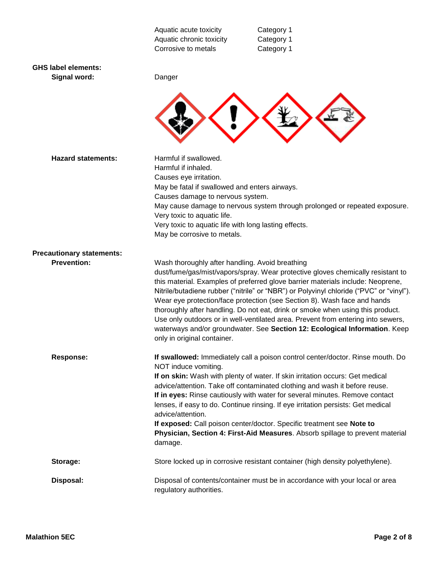|                                            | Aquatic acute toxicity<br>Aquatic chronic toxicity<br>Corrosive to metals      | Category 1<br>Category 1<br>Category 1                                                                                                                                                                                                                                                                                                                                                                                                                                                                                                                                                        |
|--------------------------------------------|--------------------------------------------------------------------------------|-----------------------------------------------------------------------------------------------------------------------------------------------------------------------------------------------------------------------------------------------------------------------------------------------------------------------------------------------------------------------------------------------------------------------------------------------------------------------------------------------------------------------------------------------------------------------------------------------|
| <b>GHS label elements:</b><br>Signal word: | Danger                                                                         |                                                                                                                                                                                                                                                                                                                                                                                                                                                                                                                                                                                               |
|                                            |                                                                                |                                                                                                                                                                                                                                                                                                                                                                                                                                                                                                                                                                                               |
| <b>Hazard statements:</b>                  | Harmful if swallowed.<br>Harmful if inhaled.<br>Causes eye irritation.         |                                                                                                                                                                                                                                                                                                                                                                                                                                                                                                                                                                                               |
|                                            | May be fatal if swallowed and enters airways.                                  |                                                                                                                                                                                                                                                                                                                                                                                                                                                                                                                                                                                               |
|                                            | Causes damage to nervous system.                                               |                                                                                                                                                                                                                                                                                                                                                                                                                                                                                                                                                                                               |
|                                            | Very toxic to aquatic life.                                                    | May cause damage to nervous system through prolonged or repeated exposure.                                                                                                                                                                                                                                                                                                                                                                                                                                                                                                                    |
|                                            | Very toxic to aquatic life with long lasting effects.                          |                                                                                                                                                                                                                                                                                                                                                                                                                                                                                                                                                                                               |
|                                            | May be corrosive to metals.                                                    |                                                                                                                                                                                                                                                                                                                                                                                                                                                                                                                                                                                               |
| <b>Precautionary statements:</b>           |                                                                                |                                                                                                                                                                                                                                                                                                                                                                                                                                                                                                                                                                                               |
| <b>Prevention:</b>                         | Wash thoroughly after handling. Avoid breathing<br>only in original container. | dust/fume/gas/mist/vapors/spray. Wear protective gloves chemically resistant to<br>this material. Examples of preferred glove barrier materials include: Neoprene,<br>Nitrile/butadiene rubber ("nitrile" or "NBR") or Polyvinyl chloride ("PVC" or "vinyl").<br>Wear eye protection/face protection (see Section 8). Wash face and hands<br>thoroughly after handling. Do not eat, drink or smoke when using this product.<br>Use only outdoors or in well-ventilated area. Prevent from entering into sewers,<br>waterways and/or groundwater. See Section 12: Ecological Information. Keep |
| <b>Response:</b>                           | NOT induce vomiting.                                                           | If swallowed: Immediately call a poison control center/doctor. Rinse mouth. Do                                                                                                                                                                                                                                                                                                                                                                                                                                                                                                                |
|                                            | advice/attention.                                                              | If on skin: Wash with plenty of water. If skin irritation occurs: Get medical<br>advice/attention. Take off contaminated clothing and wash it before reuse.<br>If in eyes: Rinse cautiously with water for several minutes. Remove contact<br>lenses, if easy to do. Continue rinsing. If eye irritation persists: Get medical                                                                                                                                                                                                                                                                |
|                                            | damage.                                                                        | If exposed: Call poison center/doctor. Specific treatment see Note to<br>Physician, Section 4: First-Aid Measures. Absorb spillage to prevent material                                                                                                                                                                                                                                                                                                                                                                                                                                        |
| Storage:                                   |                                                                                | Store locked up in corrosive resistant container (high density polyethylene).                                                                                                                                                                                                                                                                                                                                                                                                                                                                                                                 |
| Disposal:                                  | regulatory authorities.                                                        | Disposal of contents/container must be in accordance with your local or area                                                                                                                                                                                                                                                                                                                                                                                                                                                                                                                  |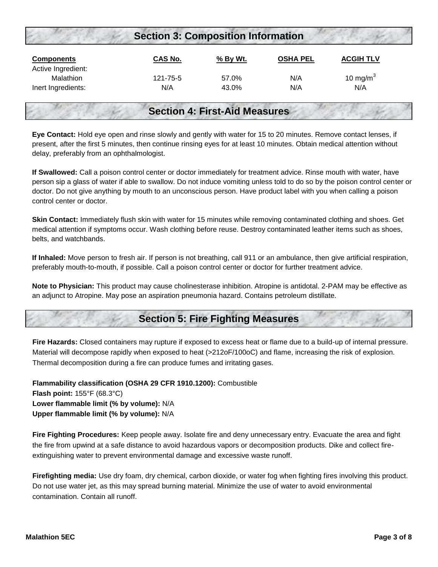| <b>Section 3: Composition Information</b> |          |          |                 |                  |  |
|-------------------------------------------|----------|----------|-----------------|------------------|--|
| <b>Components</b><br>Active Ingredient:   | CAS No.  | % By Wt. | <b>OSHA PEL</b> | <b>ACGIH TLV</b> |  |
| Malathion                                 | 121-75-5 | 57.0%    | N/A             | 10 mg/m $3$      |  |
| Inert Ingredients:                        | N/A      | 43.0%    | N/A             | N/A              |  |

## **Section 4: First-Aid Measures**

 present, after the first 5 minutes, then continue rinsing eyes for at least 10 minutes. Obtain medical attention without **Eye Contact:** Hold eye open and rinse slowly and gently with water for 15 to 20 minutes. Remove contact lenses, if delay, preferably from an ophthalmologist.

 person sip a glass of water if able to swallow. Do not induce vomiting unless told to do so by the poison control center or **If Swallowed:** Call a poison control center or doctor immediately for treatment advice. Rinse mouth with water, have doctor. Do not give anything by mouth to an unconscious person. Have product label with you when calling a poison control center or doctor.

**Skin Contact:** Immediately flush skin with water for 15 minutes while removing contaminated clothing and shoes. Get medical attention if symptoms occur. Wash clothing before reuse. Destroy contaminated leather items such as shoes, belts, and watchbands.

**If Inhaled:** Move person to fresh air. If person is not breathing, call 911 or an ambulance, then give artificial respiration, preferably mouth-to-mouth, if possible. Call a poison control center or doctor for further treatment advice.

**Note to Physician:** This product may cause cholinesterase inhibition. Atropine is antidotal. 2-PAM may be effective as an adjunct to Atropine. May pose an aspiration pneumonia hazard. Contains petroleum distillate.

# **Section 5: Fire Fighting Measures**

 Material will decompose rapidly when exposed to heat (>212oF/100oC) and flame, increasing the risk of explosion. Thermal decomposition during a fire can produce fumes and irritating gases. **Fire Hazards:** Closed containers may rupture if exposed to excess heat or flame due to a build-up of internal pressure.

 **Lower flammable limit (% by volume):** N/A  **Upper flammable limit (% by volume):** N/A **Flammability classification (OSHA 29 CFR 1910.1200):** Combustible **Flash point:** 155°F (68.3°C)

 **Fire Fighting Procedures:** Keep people away. Isolate fire and deny unnecessary entry. Evacuate the area and fight the fire from upwind at a safe distance to avoid hazardous vapors or decomposition products. Dike and collect fireextinguishing water to prevent environmental damage and excessive waste runoff.

 **Firefighting media:** Use dry foam, dry chemical, carbon dioxide, or water fog when fighting fires involving this product. Do not use water jet, as this may spread burning material. Minimize the use of water to avoid environmental contamination. Contain all runoff.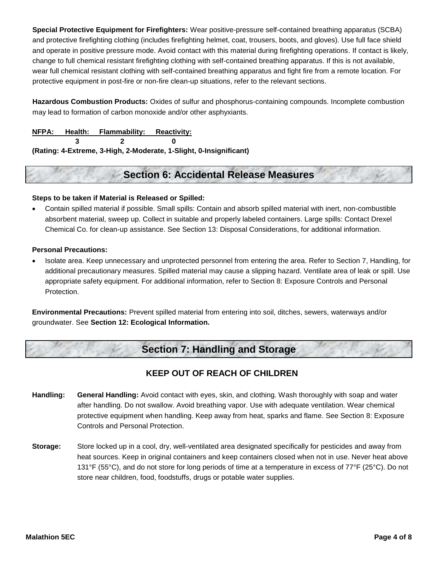**Special Protective Equipment for Firefighters:** Wear positive-pressure self-contained breathing apparatus (SCBA) and protective firefighting clothing (includes firefighting helmet, coat, trousers, boots, and gloves). Use full face shield and operate in positive pressure mode. Avoid contact with this material during firefighting operations. If contact is likely, change to full chemical resistant firefighting clothing with self-contained breathing apparatus. If this is not available, wear full chemical resistant clothing with self-contained breathing apparatus and fight fire from a remote location. For protective equipment in post-fire or non-fire clean-up situations, refer to the relevant sections.

**Hazardous Combustion Products:** Oxides of sulfur and phosphorus-containing compounds. Incomplete combustion may lead to formation of carbon monoxide and/or other asphyxiants.

**NFPA:** Health: Flammability: Reactivity:

**3 2 0** 

**(Rating: 4-Extreme, 3-High, 2-Moderate, 1-Slight, 0-Insignificant)** 

# **Section 6: Accidental Release Measures**

## **Steps to be taken if Material is Released or Spilled:**

 absorbent material, sweep up. Collect in suitable and properly labeled containers. Large spills: Contact Drexel Contain spilled material if possible. Small spills: Contain and absorb spilled material with inert, non-combustible Chemical Co. for clean-up assistance. See Section 13: Disposal Considerations, for additional information.

## **Personal Precautions:**

 appropriate safety equipment. For additional information, refer to Section 8: Exposure Controls and Personal • Isolate area. Keep unnecessary and unprotected personnel from entering the area. Refer to Section 7, Handling, for additional precautionary measures. Spilled material may cause a slipping hazard. Ventilate area of leak or spill. Use Protection.

**Environmental Precautions:** Prevent spilled material from entering into soil, ditches, sewers, waterways and/or groundwater. See **Section 12: Ecological Information.** 

# **Section 7: Handling and Storage**

## **KEEP OUT OF REACH OF CHILDREN**

- **Handling: General Handling:** Avoid contact with eyes, skin, and clothing. Wash thoroughly with soap and water protective equipment when handling. Keep away from heat, sparks and flame. See Section 8: Exposure after handling. Do not swallow. Avoid breathing vapor. Use with adequate ventilation. Wear chemical Controls and Personal Protection.
- **Storage:** Store locked up in a cool, dry, well-ventilated area designated specifically for pesticides and away from heat sources. Keep in original containers and keep containers closed when not in use. Never heat above 131°F (55°C), and do not store for long periods of time at a temperature in excess of 77°F (25°C). Do not store near children, food, foodstuffs, drugs or potable water supplies.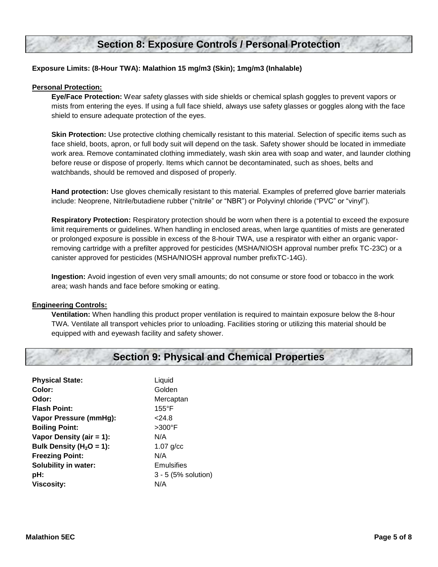# **Section 8: Exposure Controls / Personal Protection**

### **Exposure Limits: (8-Hour TWA): Malathion 15 mg/m3 (Skin); 1mg/m3 (Inhalable)**

#### **Personal Protection:**

**Eye/Face Protection:** Wear safety glasses with side shields or chemical splash goggles to prevent vapors or mists from entering the eyes. If using a full face shield, always use safety glasses or goggles along with the face shield to ensure adequate protection of the eyes.

 work area. Remove contaminated clothing immediately, wash skin area with soap and water, and launder clothing **Skin Protection:** Use protective clothing chemically resistant to this material. Selection of specific items such as face shield, boots, apron, or full body suit will depend on the task. Safety shower should be located in immediate before reuse or dispose of properly. Items which cannot be decontaminated, such as shoes, belts and watchbands, should be removed and disposed of properly.

**Hand protection:** Use gloves chemically resistant to this material. Examples of preferred glove barrier materials include: Neoprene, Nitrile/butadiene rubber ("nitrile" or "NBR") or Polyvinyl chloride ("PVC" or "vinyl").

 limit requirements or guidelines. When handling in enclosed areas, when large quantities of mists are generated removing cartridge with a prefilter approved for pesticides (MSHA/NIOSH approval number prefix TC-23C) or a **Respiratory Protection:** Respiratory protection should be worn when there is a potential to exceed the exposure or prolonged exposure is possible in excess of the 8-houir TWA, use a respirator with either an organic vaporcanister approved for pesticides (MSHA/NIOSH approval number prefixTC-14G).

 **Ingestion:** Avoid ingestion of even very small amounts; do not consume or store food or tobacco in the work area; wash hands and face before smoking or eating.

#### **Engineering Controls:**

 **Ventilation:** When handling this product proper ventilation is required to maintain exposure below the 8-hour TWA. Ventilate all transport vehicles prior to unloading. Facilities storing or utilizing this material should be equipped with and eyewash facility and safety shower.

# **Section 9: Physical and Chemical Properties**

| <b>Physical State:</b>       | Liquid              |
|------------------------------|---------------------|
| Color:                       | Golden              |
| Odor:                        | Mercaptan           |
| <b>Flash Point:</b>          | $155^{\circ}$ F     |
| Vapor Pressure (mmHg):       | 24.8                |
| <b>Boiling Point:</b>        | $>300^{\circ}$ F    |
| Vapor Density (air = 1):     | N/A                 |
| Bulk Density ( $H_2O = 1$ ): | $1.07$ g/cc         |
| <b>Freezing Point:</b>       | N/A                 |
| <b>Solubility in water:</b>  | Emulsifies          |
| pH:                          | 3 - 5 (5% solution) |
| <b>Viscosity:</b>            | N/A                 |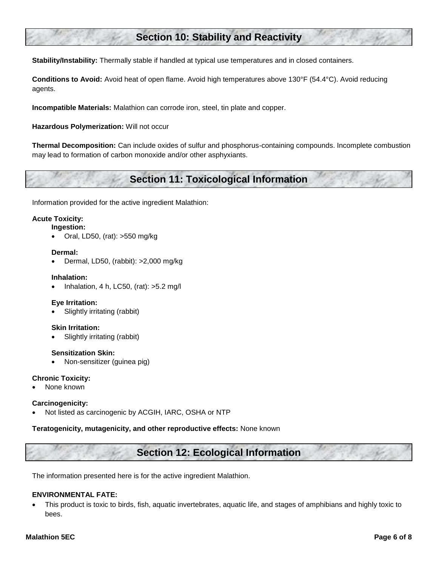# **Section 10: Stability and Reactivity**

**Stability/Instability:** Thermally stable if handled at typical use temperatures and in closed containers.

**Conditions to Avoid:** Avoid heat of open flame. Avoid high temperatures above 130°F (54.4°C). Avoid reducing agents.

**Incompatible Materials:** Malathion can corrode iron, steel, tin plate and copper.

**Hazardous Polymerization:** Will not occur

**Thermal Decomposition:** Can include oxides of sulfur and phosphorus-containing compounds. Incomplete combustion may lead to formation of carbon monoxide and/or other asphyxiants.

# **Section 11: Toxicological Information**

Information provided for the active ingredient Malathion:

## **Acute Toxicity:**

**Ingestion:** 

Oral, LD50, (rat): >550 mg/kg

#### **Dermal:**

Dermal, LD50, (rabbit): >2,000 mg/kg

#### **Inhalation:**

• Inhalation, 4 h, LC50, (rat):  $>5.2$  mg/l

### **Eye Irritation:**

Slightly irritating (rabbit)

#### **Skin Irritation:**

Slightly irritating (rabbit)

#### **Sensitization Skin:**

Non-sensitizer (guinea pig)

#### **Chronic Toxicity:**

None known

#### **Carcinogenicity:**

Not listed as carcinogenic by ACGIH, IARC, OSHA or NTP

#### **Teratogenicity, mutagenicity, and other reproductive effects:** None known

# **Section 12: Ecological Information**

The information presented here is for the active ingredient Malathion.

### **ENVIRONMENTAL FATE:**

 This product is toxic to birds, fish, aquatic invertebrates, aquatic life, and stages of amphibians and highly toxic to bees.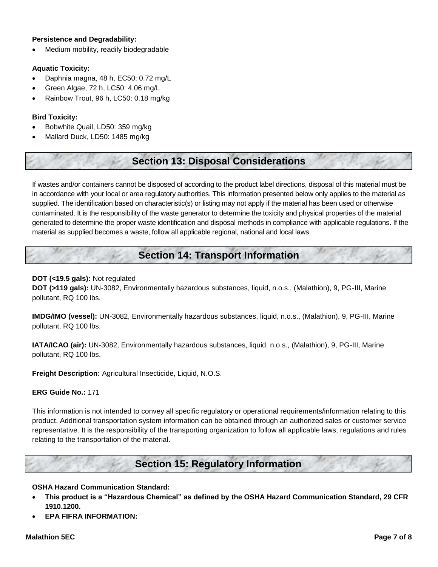#### **Persistence and Degradability:**

Medium mobility, readily biodegradable

#### **Aquatic Toxicity:**

- Daphnia magna, 48 h, EC50: 0.72 mg/L
- Green Algae, 72 h, LC50: 4.06 mg/L
- Rainbow Trout, 96 h, LC50: 0.18 mg/kg

#### **Bird Toxicity:**

- Bobwhite Quail, LD50: 359 mg/kg
- Mallard Duck, LD50: 1485 mg/kg

# **Section 13: Disposal Considerations**

 If wastes and/or containers cannot be disposed of according to the product label directions, disposal of this material must be in accordance with your local or area regulatory authorities. This information presented below only applies to the material as supplied. The identification based on characteristic(s) or listing may not apply if the material has been used or otherwise contaminated. It is the responsibility of the waste generator to determine the toxicity and physical properties of the material generated to determine the proper waste identification and disposal methods in compliance with applicable regulations. If the material as supplied becomes a waste, follow all applicable regional, national and local laws.

# **Section 14: Transport Information**

#### **DOT (<19.5 gals):** Not regulated

**DOT (>119 gals):** UN-3082, Environmentally hazardous substances, liquid, n.o.s., (Malathion), 9, PG-III, Marine pollutant, RQ 100 lbs.

**IMDG/IMO (vessel):** UN-3082, Environmentally hazardous substances, liquid, n.o.s., (Malathion), 9, PG-III, Marine pollutant, RQ 100 lbs.

**IATA/ICAO (air):** UN-3082, Environmentally hazardous substances, liquid, n.o.s., (Malathion), 9, PG-III, Marine pollutant, RQ 100 lbs.

**Freight Description:** Agricultural Insecticide, Liquid, N.O.S.

#### **ERG Guide No.:** 171

This information is not intended to convey all specific regulatory or operational requirements/information relating to this product. Additional transportation system information can be obtained through an authorized sales or customer service representative. It is the responsibility of the transporting organization to follow all applicable laws, regulations and rules relating to the transportation of the material.

## **Section 15: Regulatory Information**

#### **OSHA Hazard Communication Standard:**

- **This product is a "Hazardous Chemical" as defined by the OSHA Hazard Communication Standard, 29 CFR 1910.1200.**
- **EPA FIFRA INFORMATION:**